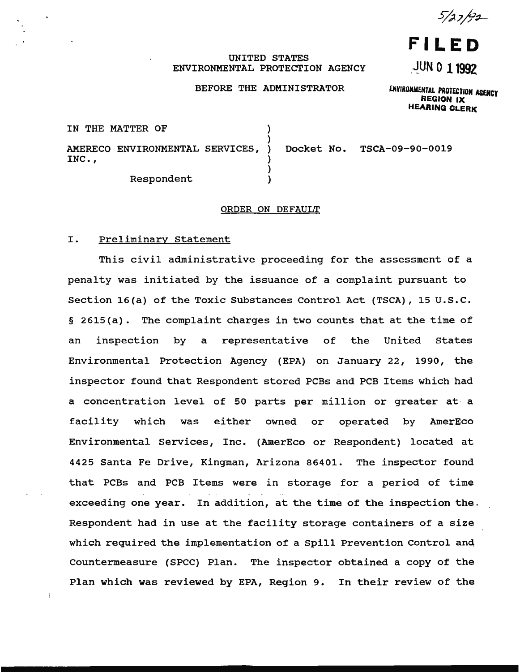5/27/92

# **FILED**

## ~UN 0 11992

## UNITED STATES ENVIRONMENTAL PROTECTION AGENCY

### BEFORE THE ADMINISTRATOR

ENVIRONMENTAL PROTECTION AGENCY REGION IX HEARING CLERK

| IN THE MATTER OF                              |                            |
|-----------------------------------------------|----------------------------|
| AMERECO ENVIRONMENTAL SERVICES, )<br>$INC.$ , | Docket No. TSCA-09-90-0019 |
| Respondent                                    |                            |

## ORDER ON DEFAULT

#### I. Preliminary Statement

This civil administrative proceeding for the assessment of a penalty was initiated by the issuance of a complaint pursuant to Section 16(a) of the Toxic Substances Control Act (TSCA), 15 U.S.C. § 2615(a). The complaint charges in two counts that at the time of an inspection by a representative of the United States Environmental Protection Agency (EPA) on January 22, 1990, the inspector found that Respondent stored PCBs and PCB Items which had a concentration level of 50 parts per million or greater at a facility which was either owned or operated by AmerEco Environmental Services, Inc. (AmerEco or Respondent) located at 4425 Santa Fe Drive, Kingman, Arizona 86401. The inspector found that PCBs and PCB Items were in storage for a period of time exceeding one year. In addition, at the time of the inspection the. Respondent had in use at the facility storage containers of a size which required the implementation of a Spill Prevention Control and Countermeasure (SPCC) Plan. The inspector obtained a copy of the Plan which was reviewed by EPA, Region 9. In their review of the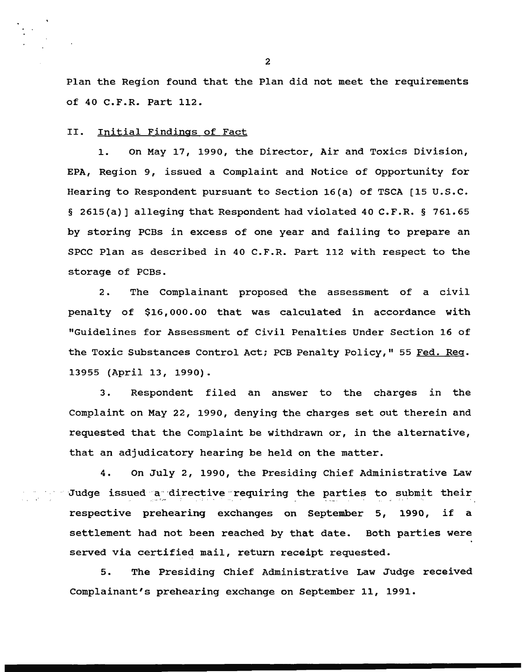Plan the Region found that the Plan did not meet the requirements of 40 C.F.R. Part 112.

## II. Initial Findings of Fact

1. On May 17, 1990, the Director, Air and Toxics Division, EPA, Region 9, issued a Complaint and Notice of Opportunity for Hearing to Respondent pursuant to Section 16(a) of TSCA [15 U.S.C. § 2615(a)] alleging that Respondent had violated 40 C.F.R. § 761.65 by storing PCBs in excess of one year and failing to prepare an SPCC Plan as described in 40 C.F.R. Part 112 with respect to the storage of PCBs.

2. The Complainant proposed the assessment of a civil penalty of \$16,000.00 that was calculated in accordance with "Guidelines for Assessment of Civil Penalties Under Section 16 of the Toxic Substances Control Act; PCB Penalty Policy," 55 Fed. Req. 13955 (April 13, 1990).

3. Respondent filed an answer to the charges in the Complaint on May 22, 1990, denying the charges set out therein and requested that the Complaint be withdrawn or, in the alternative, that an adjudicatory hearing be held on the matter.

4. on July 2, 1990, the Presiding Chief Administrative Law Judge issued a directive requiring the parties to submit their respective prehearing exchanges on September 5, 1990, if a settlement had not been reached by that date. Both parties were served via certified mail, return receipt requested.

5. The Presiding Chief Administrative Law Judge received Complainant's prehearing exchange on September 11, 1991.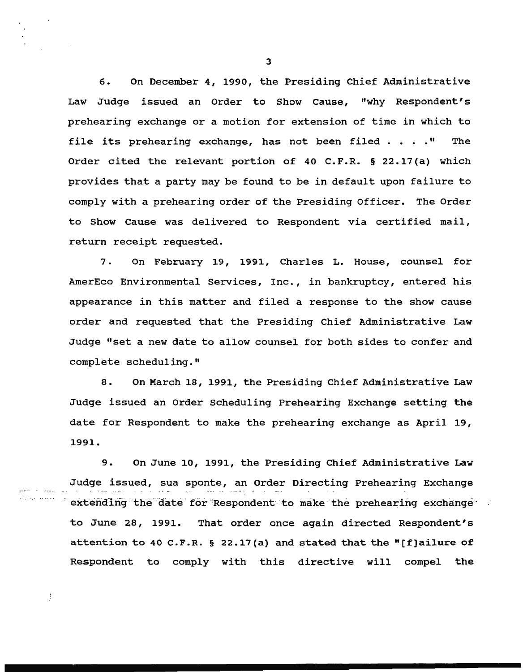6. On December 4, 1990, the Presiding Chief Administrative Law Judge issued an Order to Show cause, "why Respondent's prehearing exchange or a motion for extension of time in which to file its prehearing exchange, has not been filed  $\cdots$ ." The Order cited the relevant portion of 40 C.F.R. § 22.17(a) which provides that a party may be found to be in default upon failure to comply with a prehearing order of the Presiding Officer. The Order to Show Cause was delivered to Respondent via certified mail, return receipt requested.

7. On February 19, 1991, Charles L. House, counsel for AmerEco Environmental Services, Inc., in bankruptcy, entered his appearance in this matter and filed a response to the show cause order and requested that the Presiding Chief Administrative Law Judge "set a new date to allow counsel for both sides to confer and complete scheduling."

8. On March 18, 1991, the Presiding Chief Administrative Law Judge issued an Order Scheduling Prehearing Exchange setting the date for Respondent to make the prehearing exchange as April 19, 1991.

9. On June 10, 1991, the Presiding Chief Administrative Law Judge issued, sua sponte, an Order Directing Prehearing Exchange extending the date for Respondent to make the prehearing exchange to June *28,* 1991. That order once again directed Respondent's attention to 40 C.P.R. § 22.17(a) and stated that the "[f]ai1ure of Respondent to comply with this directive will compel the

Ĵ.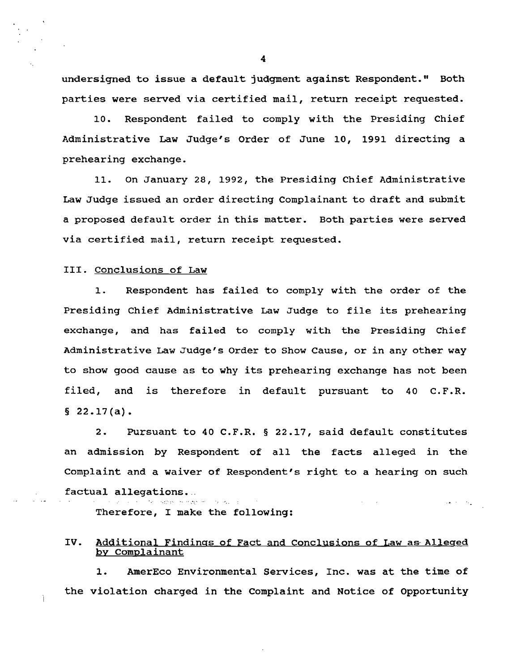undersigned to issue a default judgment against Respondent." Both parties were served via certified mail, return receipt requested.

10. Respondent failed to comply with the Presiding Chief Administrative Law Judge's Order of June 10, 1991 directing a prehearing exchange.

11. On January 28, 1992, the Presiding Chief Administrative Law Judge issued an order directing Complainant to draft and submit a proposed default order in this matter. Both parties were served via certified mail, return receipt requested.

## III. Conclusions of Law

1. Respondent has failed to comply with the order of the Presiding Chief Administrative Law Judge to file its prehearing exchange, and has failed to comply with the Presiding Chief Administrative Law Judge's Order to Show Cause, or in any other way to show good cause as to why its prehearing exchange has not been filed, and is therefore in default pursuant to 40 C.F.R.  $§$  22.17(a).

2. Pursuant to 40 C.F.R. § 22.17, said default constitutes an admission by Respondent of all the facts alleged in the Complaint and a waiver of Respondent's right to a hearing on such factual allegations ... • · ·• .. • • .. ~:.. • ! ..... .  $\log\left(8\right) = 2\sqrt{\pi}$ 

Therefore, I make the following:

## IV. Additional Findings of Fact and Conclusions of Law as Alleged by Complainant

1. AmerEco Environmental Services, Inc. was at the time of the violation charged in the Complaint and Notice of Opportunity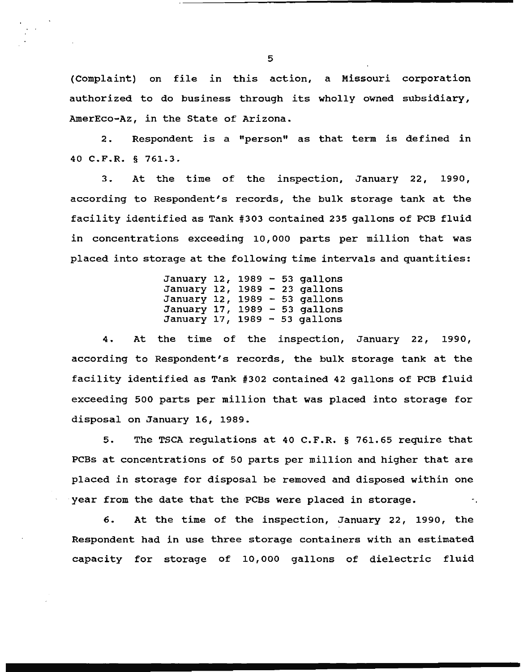(Complaint) on file in this action, a Missouri corporation authorized to do business through its wholly owned subsidiary, AmerEco-Az, in the State of Arizona.

2. Respondent is a "person" as that term is defined in 40 C.F.R. § 761.3.

3. At the time of the inspection, January 22, 1990, according to Respondent's records, the bulk storage tank at the facility identified as Tank #303 contained 235 gallons of PCB fluid in concentrations exceeding 10,000 parts per million that was placed into storage at the following time intervals and quantities:

> January 12, 1989 - 53 gallons January 12, 1989 - 23 gallons January 12, 1989  $-$  53 gallons January 17, 1989 - 53 gallons January 17, 1989 - 53 gallons

4. At the time of the inspection, January 22, 1990, according to Respondent's records, the bulk storage tank at the facility identified as Tank #302 contained 42 gallons of PCB fluid exceeding 500 parts per million that was placed into storage for disposal on January 16, 1989.

5. The TSCA regulations at 40 C.F.R. § 761.65 require that PCBs at concentrations of 50 parts per million and higher that are placed in storage for disposal be removed and disposed within one year from the date that the PCBs were placed in storage.

6. At the time of the inspection, January 22, 1990, the Respondent had in use three storage containers with an estimated capacity for storage of 10,000 gallons of dielectric fluid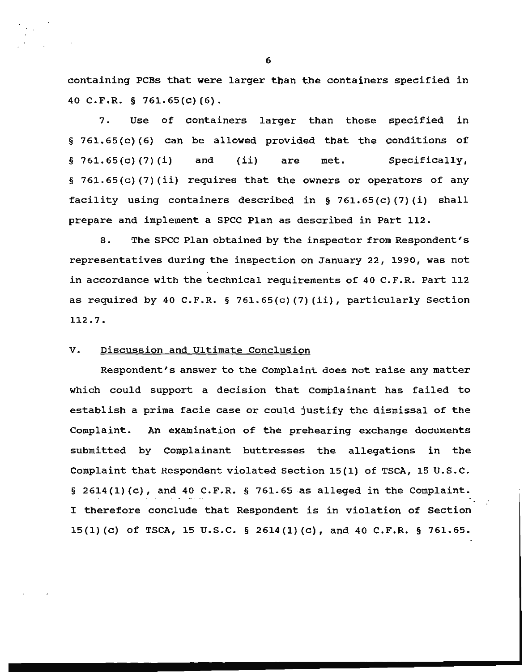containing PCBs that were larger than the containers specified in 40 C.F.R. § 761.65(c) {6).

7. Use of containers larger than those specified in § 761.65(c) (6) can be allowed provided that the conditions of  $§ 761.65(c) (7) (i)$  and (ii) are met. Specifically, § 761.65(c) (7)(ii) requires that the owners or operators of any facility using containers described in § 761.65 (c) (7) (i) shall prepare and implement a SPCC Plan as described in Part 112.

8. The SPCC Plan obtained by the inspector from Respondent's representatives during the inspection on January 22, 1990, was not in accordance with the technical requirements of 40 C.F.R. Part 112 as required by 40 C.F.R. § 761.65(c) (7) (ii), particularly Section 112.7.

## V. Discussion and Ultimate Conclusion

Respondent's answer to the Complaint does not raise any matter which could support a decision that Complainant has failed to establish a prima facie case or could justify the dismissal of the Complaint. An examination of the prehearing exchange documents submitted by Complainant buttresses the allegations in the Complaint that Respondent violated Section 15(1) of TSCA, 15 u.s.c. § 2614(1) $(c)$ , and 40 C.F.R. § 761.65 as alleged in the Complaint. I therefore conclude that Respondent is in violation of Section 15(1) (c) of TSCA, 15 U.S.C. § 2614(1) (c), and 40 C.F.R. § 761.65.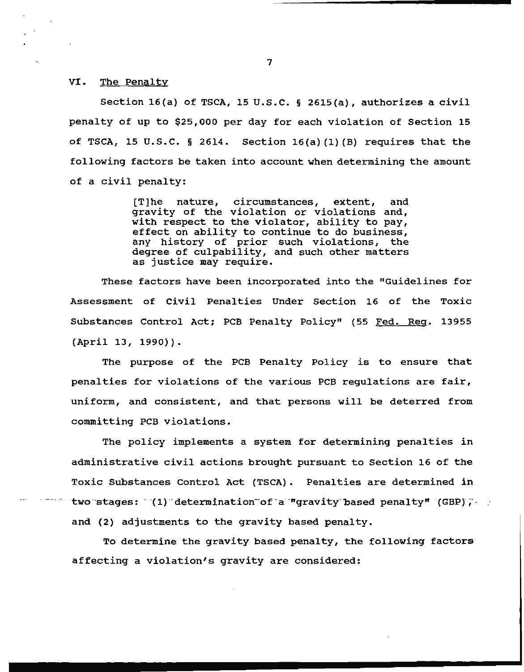VI. The Penalty

Section 16(a) of TSCA, 15 U.S.C. § 2615(a), authorizes a civil penalty of up to \$25,000 per day for each violation of Section 15 of TSCA, 15 U.S.C. § 2614. Section  $16(a)$  (1) (B) requires that the following factors be taken into account when determining the amount of a civil penalty:

> [T]he nature, circumstances, extent, and gravity of the violation or violations and, with respect to the violator, ability to pay, effect on ability to continue to do business, any history of prior such violations, the degree of culpability, and such other matters as justice may require.

These factors have been incorporated into the "Guidelines for Assessment of Civil Penalties Under Section 16 of the Toxic Substances Control Act; PCB Penalty Policy" (55 Fed. Reg. 13955 (April 13, 1990)).

The purpose of the PCB Penalty Policy is to ensure that penalties for violations of the various PCB regulations are fair, uniform, and consistent, and that persons will be deterred from committing PCB violations.

The policy implements a system for determining penalties in administrative civil actions brought pursuant to Section 16 of the Toxic Substances Control Act (TSCA). Penalties are determined in two stages:  $(1)$  determination of a "gravity based penalty" (GBP); and (2) adjustments to the gravity based penalty.

To determine the gravity based penalty, the following factors affecting a violation's gravity are considered:

 $\sim$  7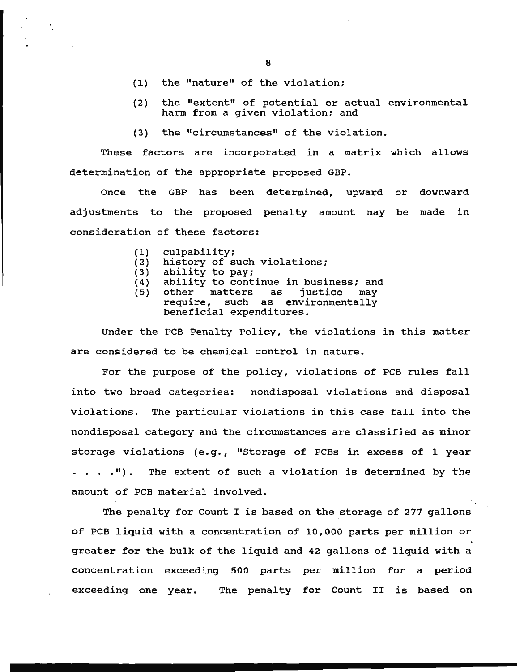- (1) the "nature" of the violation;
- (2) the "extent" of potential or actual environmental harm from a given violation; and
- (3) the "circumstances" of the violation.

These factors are incorporated in a matrix which allows determination of the appropriate proposed GBP.

Once the GBP has been determined, upward or downward adjustments to the proposed penalty amount may be made in consideration of these factors:

- (1) culpability;
- (2) history of such violations;<br>(3) ability to pay;
- (3) ability to pay;<br>(4) ability to cont
- (4) ability to continue in business; and<br>(5) other matters as justice may
- other matters as justice may<br>require, such as environmentally such as environmentally beneficial expenditures.

Under the PCB Penalty Policy, the violations in this matter are considered to be chemical control in nature.

For the purpose of the policy, violations of PCB rules fall into two broad categories: nondisposal violations and disposal violations. The particular violations in this case fall into the nondisposal category and the circumstances are classified as minor storage violations (e.g., "Storage of PCBs in excess of 1 year . . . . ") . The extent of such a violation is determined by the amount of PCB material involved.

The penalty for Count I is based on the storage of 277 gallons of PCB liquid with a concentration of 10,000 parts per million or greater for the bulk of the liquid and 42 gallons of liquid with a concentration exceeding 500 parts per million for a period exceeding one year. The penalty for Count II is based on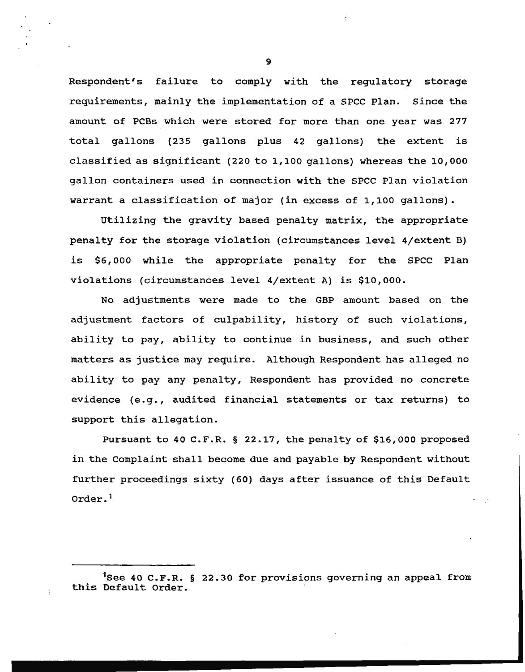Respondent's failure to comply with the regulatory storage requirements, mainly the implementation of a SPCC Plan. Since the amount of PCBs which were stored for more than one year was 277 total gallons (235 gallons plus 42 gallons) the extent is classified as significant (220 to 1,100 gallons) whereas the 10,000 gallon containers used in connection with the SPCC Plan violation warrant a classification of major (in excess of 1,100 gallons).

Utilizing the gravity based penalty matrix, the appropriate penalty for the storage violation (circumstances level 4/extent B) is \$6,000 while the appropriate penalty for the SPCC Plan violations (circumstances level 4/extent A) is \$10,000.

No adjustments were made to the GBP amount based on the adjustment factors of culpability, history of such violations, ability to pay, ability to continue in business, and such other matters as justice may require. Although Respondent has alleged no ability to pay any penalty, Respondent has provided no concrete evidence (e.g., audited financial statements or tax returns) to support this allegation.

Pursuant to 40 C.F.R. § 22.17, the penalty of \$16,000 proposed in the Complaint shall become due and payable by Respondent without further proceedings sixty (60) days after issuance of this Default Order. <sup>1</sup>

<sup>&</sup>lt;sup>1</sup>See 40 C.F.R. § 22.30 for provisions governing an appeal from this Default Order.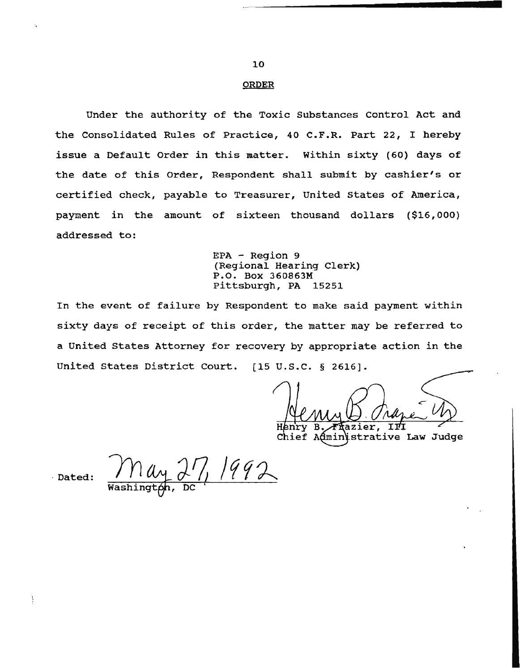#### ORDER

Under the authority of the Toxic Substances control Act and the Consolidated Rules of Practice, 40 C.F.R. Part 22, I hereby issue a Default Order in this matter. Within sixty (60) days of the date of this Order, Respondent shall submit by cashier's or certified check, payable to Treasurer, United states of America, payment in the amount of sixteen thousand dollars (\$16,000) addressed to:

> EPA - Region 9 (Regional Hearing Clerk) P.O. Box 360863M Pittsburgh, PA 15251

In the event of failure by Respondent to make said payment within sixty days of receipt of this order, the matter may be referred to a United States Attorney for recovery by appropriate action in the United states District court. [15 u.s.c. § 2616].

azier, īЙ

Chief Administrative Law Judge

Dated:  $\frac{\int N \mu_1 \lambda_2 \cdot \int \sqrt{992}}{\text{Washintab}}$